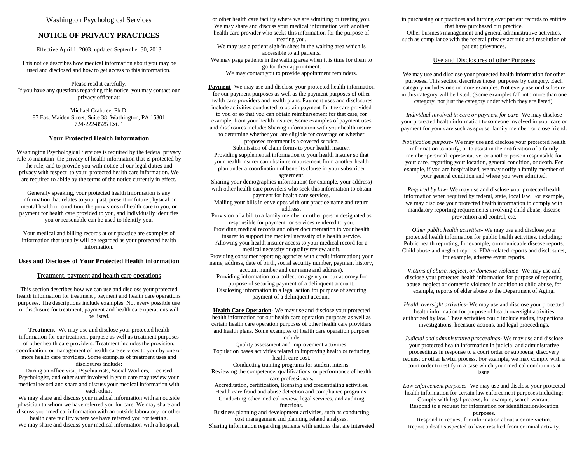Washington Psychological Services

# **NOTICE OF PRIVACY PRACTICES**

Effective April 1, 2003, updated September 30, 2013

This notice describes how medical information about you may be used and disclosed and how to get access to this information.

Please read it carefully. If you have any questions regarding this notice, you may contact our privacy officer at:

Michael Crabtree, Ph.D. 87 East Maiden Street, Suite 38, Washington, PA 15301 724-222-8525 Ext. 1

#### **Your Protected Health Information**

Washington Psychological Services is required by the federal privacy rule to maintain the privacy of health information that is protected by the rule, and to provide you with notice of our legal duties and privacy with respect to your protected health care information. We are required to abide by the terms of the notice currently in effect.

Generally speaking, your protected health information is any information that relates to your past, present or future physical or mental health or condition, the provisions of health care to you, or payment for health care provided to you, and individually identifies you or reasonable can be used to identify you.

Your medical and billing records at our practice are examples of information that usually will be regarded as your protected health information.

### **Uses and Discloses of Your Protected Health information**

#### Treatment, payment and health care operations

This section describes how we can use and disclose your protected health information for treatment , payment and health care operations purposes. The descriptions include examples. Not every possible use or disclosure for treatment, payment and health care operations will be listed.

**Treatment**- We may use and disclose your protected health information for our treatment purpose as well as treatment purposes of other health care providers. Treatment includes the provision, coordination, or management of health care services to your by one or more health care providers. Some examples of treatment uses and disclosures include:

During an office visit, Psychiatrists, Social Workers, Licensed Psychologist, and other staff involved in your care may review your medical record and share and discuss your medical information with each other.

We may share and discuss your medical information with an outside physician to whom we have referred you for care. We may share and discuss your medical information with an outside laboratory or other

health care facility where we have referred you for testing. We may share and discuss your medical information with a hospital,

or other health care facility where we are admitting or treating you. We may share and discuss your medical information with another health care provider who seeks this information for the purpose of treating you. We may use a patient sigh-in sheet in the waiting area which is accessible to all patients. We may page patients in the waiting area when it is time for them to go for their appointment. We may contact you to provide appointment reminders.

**Payment**- We may use and disclose your protected health information for our payment purposes as well as the payment purposes of other health care providers and health plans. Payment uses and disclosures include activities conducted to obtain payment for the care provided to you or so that you can obtain reimbursement for that care, for example, from your health insurer. Some examples of payment uses and disclosures include: Sharing information with your health insurer to determine whether you are eligible for coverage or whether proposed treatment is a covered service. Submission of claim forms to your health insurer. Providing supplemental information to your health insurer so that your health insurer can obtain reimbursement from another health

plan under a coordination of benefits clause in your subscriber agreement.

Sharing your demographics information( for example, your address) with other health care providers who seek this information to obtain payment for health care services.

Mailing your bills in envelopes with our practice name and return address.

Provision of a bill to a family member or other person designated as responsible for payment for services rendered to you.

Providing medical records and other documentation to your health insurer to support the medical necessity of a health service. Allowing your health insurer access to your medical record for a

medical necessity or quality review audit.

Providing consumer reporting agencies with credit information( your name, address, date of birth, social security number, payment history, account number and our name and address).

Providing information to a collection agency or our attorney for purpose of securing payment of a delinquent account. Disclosing information in a legal action for purpose of securing payment of a delinquent account.

**Health Care Operation**- We may use and disclose your protected health information for our health care operation purposes as well as certain health care operation purposes of other health care providers and health plans. Some examples of health care operation purpose include:

Quality assessment and improvement activities. Population bases activities related to improving health or reducing health care cost. Conducting training programs for student interns.

Reviewing the competence, qualifications, or performance of health care professionals.

Accreditation, certification, licensing and credentialing activities. Health care fraud and abuse detection and compliance programs. Conducting other medical review, legal services, and auditing functions.

Business planning and development activities, such as conducting cost management and planning related analyses. Sharing information regarding patients with entities that are interested in purchasing our practices and turning over patient records to entities that have purchased our practice. Other business management and general administrative activities, such as compliance with the federal privacy act rule and resolution of patient grievances.

### Use and Disclosures of other Purposes

We may use and disclose your protected health information for other purposes. This section describes those purposes by category. Each category includes one or more examples. Not every use or disclosure in this category will be listed. (Some examples fall into more than one category, not just the category under which they are listed).

*Individual involved in care or payment for care*- We may disclose your protected health information to someone involved in your care or payment for your care such as spouse, family member, or close friend.

*Notification purpose*- We may use and disclose your protected health information to notify, or to assist in the notification of a family member personal representative, or another person responsible for your care, regarding your location, general condition, or death. For example, if you are hospitalized, we may notify a family member of your general condition and where you were admitted.

*Required by law*- We may use and disclose your protected health information when required by federal, state, local law. For example, we may disclose your protected health information to comply with mandatory reporting requirements involving child abuse, disease prevention and control, etc.

*Other public health activities*- We may use and disclose your protected health information for public health activities, including: Public health reporting, for example, communicable disease reports. Child abuse and neglect reports. FDA-related reports and disclosures, for example, adverse event reports.

*Victims of abuse, neglect, or domestic violence*- We may use and disclose your protected health information for purpose of reporting abuse, neglect or domestic violence in addition to child abuse, for example, reports of elder abuse to the Department of Aging.

*Health oversight activities*- We may use and disclose your protected health information for purpose of health oversight activities authorized by law. These activities could include audits, inspections, investigations, licensure actions, and legal proceedings.

*Judicial and administrative proceedings*- We may use and disclose your protected health information in judicial and administrative proceedings in response to a court order or subpoena, discovery request or other lawful process. For example, we may comply with a court order to testify in a case which your medical condition is at issue.

*Law enforcement purposes*- We may use and disclose your protected health information for certain law enforcement purposes including: Comply with legal process, for example, search warrant. Respond to a request for information for identification/location purposes.

Respond to request for information about a crime victim. Report a death suspected to have resulted from criminal activity.